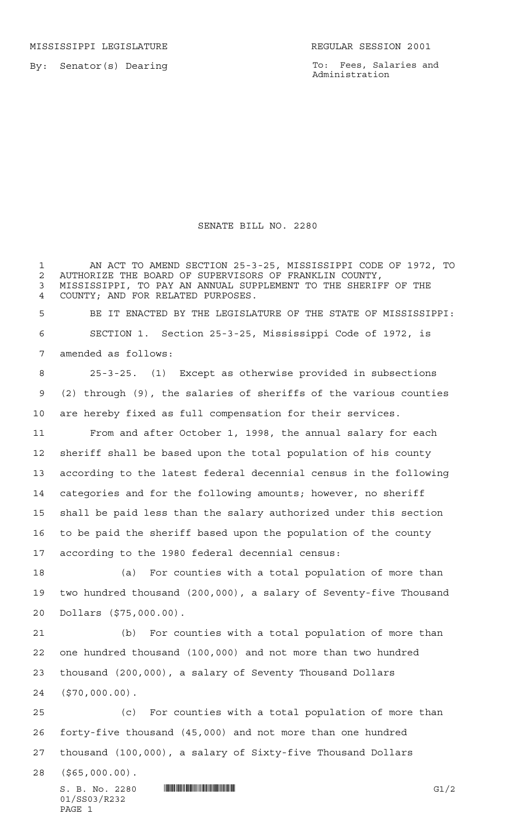MISSISSIPPI LEGISLATURE **REGULAR SESSION 2001** 

By: Senator(s) Dearing

To: Fees, Salaries and Administration

## SENATE BILL NO. 2280

 AN ACT TO AMEND SECTION 25-3-25, MISSISSIPPI CODE OF 1972, TO 2 AUTHORIZE THE BOARD OF SUPERVISORS OF FRANKLIN COUNTY,<br>3 MISSISSIPPI, TO PAY AN ANNUAL SUPPLEMENT TO THE SHERIF MISSISSIPPI, TO PAY AN ANNUAL SUPPLEMENT TO THE SHERIFF OF THE COUNTY; AND FOR RELATED PURPOSES. BE IT ENACTED BY THE LEGISLATURE OF THE STATE OF MISSISSIPPI: SECTION 1. Section 25-3-25, Mississippi Code of 1972, is amended as follows: 25-3-25. (1) Except as otherwise provided in subsections (2) through (9), the salaries of sheriffs of the various counties are hereby fixed as full compensation for their services. From and after October 1, 1998, the annual salary for each

 sheriff shall be based upon the total population of his county according to the latest federal decennial census in the following categories and for the following amounts; however, no sheriff shall be paid less than the salary authorized under this section to be paid the sheriff based upon the population of the county according to the 1980 federal decennial census:

 (a) For counties with a total population of more than two hundred thousand (200,000), a salary of Seventy-five Thousand Dollars (\$75,000.00).

 (b) For counties with a total population of more than one hundred thousand (100,000) and not more than two hundred thousand (200,000), a salary of Seventy Thousand Dollars (\$70,000.00).

 (c) For counties with a total population of more than forty-five thousand (45,000) and not more than one hundred thousand (100,000), a salary of Sixty-five Thousand Dollars

(\$65,000.00).

 $S. B. No. 2280$  ...  $\blacksquare$   $\blacksquare$   $\blacksquare$   $\blacksquare$   $\blacksquare$   $\blacksquare$   $\blacksquare$   $\blacksquare$   $\blacksquare$   $\blacksquare$   $\blacksquare$   $\blacksquare$   $\blacksquare$   $\blacksquare$   $\blacksquare$   $\blacksquare$   $\blacksquare$   $\blacksquare$   $\blacksquare$   $\blacksquare$   $\blacksquare$   $\blacksquare$   $\blacksquare$   $\blacksquare$   $\blacksquare$   $\blacksquare$   $\blacksquare$   $\blacksquare$   $\blacksquare$  01/SS03/R232 PAGE 1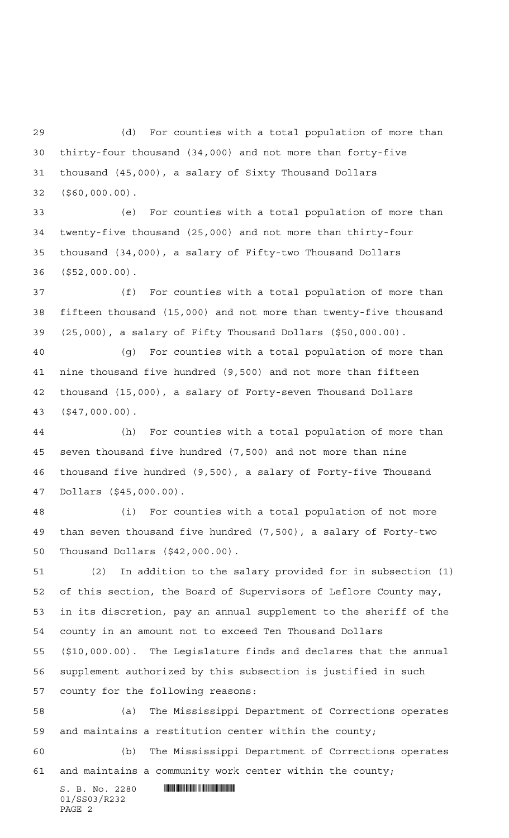(d) For counties with a total population of more than thirty-four thousand (34,000) and not more than forty-five thousand (45,000), a salary of Sixty Thousand Dollars (\$60,000.00).

 (e) For counties with a total population of more than twenty-five thousand (25,000) and not more than thirty-four thousand (34,000), a salary of Fifty-two Thousand Dollars (\$52,000.00).

 (f) For counties with a total population of more than fifteen thousand (15,000) and not more than twenty-five thousand (25,000), a salary of Fifty Thousand Dollars (\$50,000.00).

 (g) For counties with a total population of more than nine thousand five hundred (9,500) and not more than fifteen thousand (15,000), a salary of Forty-seven Thousand Dollars (\$47,000.00).

 (h) For counties with a total population of more than seven thousand five hundred (7,500) and not more than nine thousand five hundred (9,500), a salary of Forty-five Thousand Dollars (\$45,000.00).

 (i) For counties with a total population of not more than seven thousand five hundred (7,500), a salary of Forty-two Thousand Dollars (\$42,000.00).

 (2) In addition to the salary provided for in subsection (1) of this section, the Board of Supervisors of Leflore County may, in its discretion, pay an annual supplement to the sheriff of the county in an amount not to exceed Ten Thousand Dollars (\$10,000.00). The Legislature finds and declares that the annual supplement authorized by this subsection is justified in such county for the following reasons:

 (a) The Mississippi Department of Corrections operates and maintains a restitution center within the county;

 (b) The Mississippi Department of Corrections operates and maintains a community work center within the county;

 $S. B. No. 2280$  .  $\blacksquare$ 01/SS03/R232 PAGE 2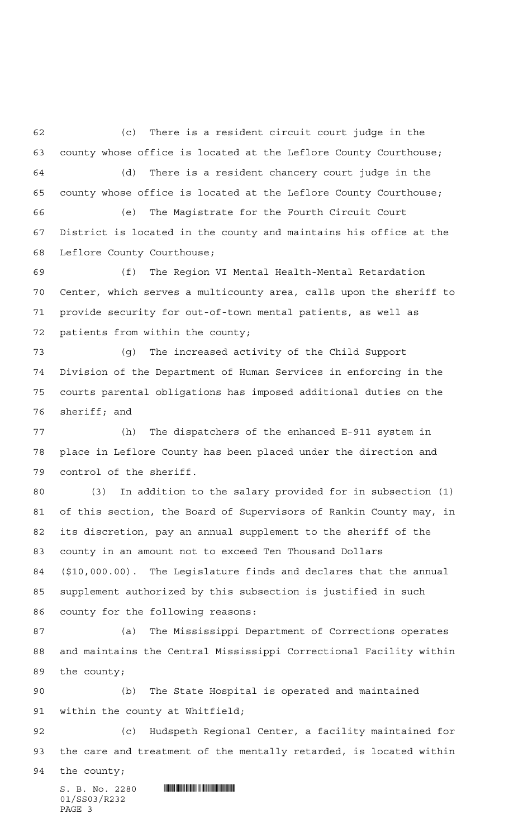(c) There is a resident circuit court judge in the county whose office is located at the Leflore County Courthouse; (d) There is a resident chancery court judge in the county whose office is located at the Leflore County Courthouse; (e) The Magistrate for the Fourth Circuit Court District is located in the county and maintains his office at the Leflore County Courthouse; (f) The Region VI Mental Health-Mental Retardation Center, which serves a multicounty area, calls upon the sheriff to

 provide security for out-of-town mental patients, as well as patients from within the county;

 (g) The increased activity of the Child Support Division of the Department of Human Services in enforcing in the courts parental obligations has imposed additional duties on the sheriff; and

 (h) The dispatchers of the enhanced E-911 system in place in Leflore County has been placed under the direction and control of the sheriff.

 (3) In addition to the salary provided for in subsection (1) of this section, the Board of Supervisors of Rankin County may, in its discretion, pay an annual supplement to the sheriff of the county in an amount not to exceed Ten Thousand Dollars (\$10,000.00). The Legislature finds and declares that the annual supplement authorized by this subsection is justified in such county for the following reasons:

 (a) The Mississippi Department of Corrections operates and maintains the Central Mississippi Correctional Facility within the county;

 (b) The State Hospital is operated and maintained within the county at Whitfield;

 (c) Hudspeth Regional Center, a facility maintained for the care and treatment of the mentally retarded, is located within

the county;

 $S. B. No. 2280$  .  $M$ 01/SS03/R232 PAGE 3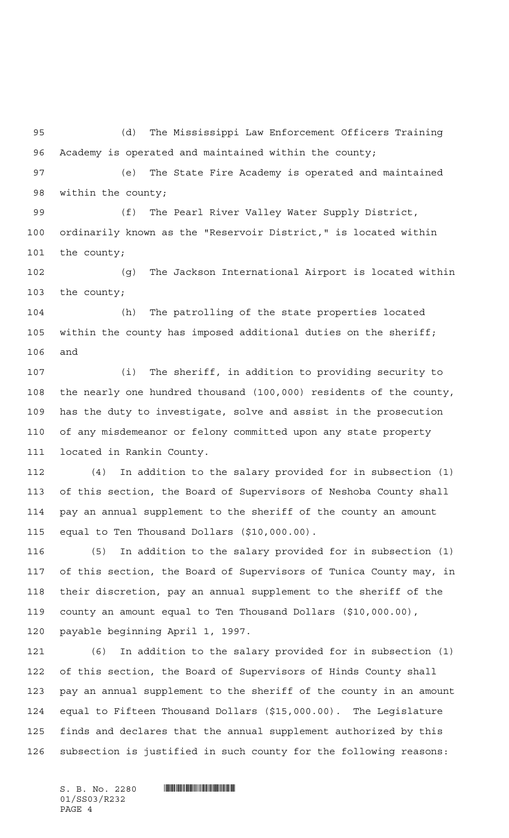(d) The Mississippi Law Enforcement Officers Training Academy is operated and maintained within the county;

 (e) The State Fire Academy is operated and maintained within the county;

 (f) The Pearl River Valley Water Supply District, ordinarily known as the "Reservoir District," is located within the county;

 (g) The Jackson International Airport is located within the county;

 (h) The patrolling of the state properties located within the county has imposed additional duties on the sheriff; and

 (i) The sheriff, in addition to providing security to the nearly one hundred thousand (100,000) residents of the county, has the duty to investigate, solve and assist in the prosecution of any misdemeanor or felony committed upon any state property located in Rankin County.

 (4) In addition to the salary provided for in subsection (1) of this section, the Board of Supervisors of Neshoba County shall pay an annual supplement to the sheriff of the county an amount equal to Ten Thousand Dollars (\$10,000.00).

 (5) In addition to the salary provided for in subsection (1) of this section, the Board of Supervisors of Tunica County may, in their discretion, pay an annual supplement to the sheriff of the county an amount equal to Ten Thousand Dollars (\$10,000.00), payable beginning April 1, 1997.

 (6) In addition to the salary provided for in subsection (1) of this section, the Board of Supervisors of Hinds County shall pay an annual supplement to the sheriff of the county in an amount equal to Fifteen Thousand Dollars (\$15,000.00). The Legislature finds and declares that the annual supplement authorized by this subsection is justified in such county for the following reasons:

 $S. B. No. 2280$  . And  $S. 3280$ 01/SS03/R232 PAGE 4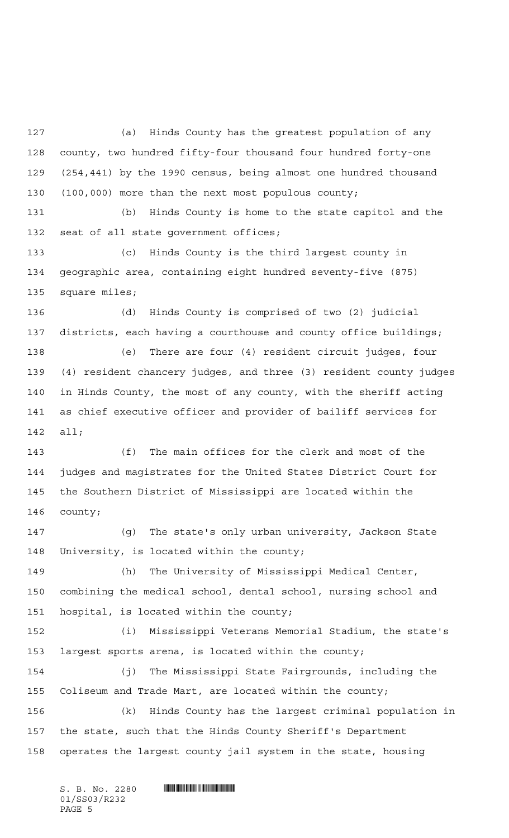(a) Hinds County has the greatest population of any county, two hundred fifty-four thousand four hundred forty-one (254,441) by the 1990 census, being almost one hundred thousand (100,000) more than the next most populous county;

 (b) Hinds County is home to the state capitol and the seat of all state government offices;

 (c) Hinds County is the third largest county in geographic area, containing eight hundred seventy-five (875) square miles;

 (d) Hinds County is comprised of two (2) judicial districts, each having a courthouse and county office buildings;

 (e) There are four (4) resident circuit judges, four (4) resident chancery judges, and three (3) resident county judges in Hinds County, the most of any county, with the sheriff acting as chief executive officer and provider of bailiff services for all;

 (f) The main offices for the clerk and most of the judges and magistrates for the United States District Court for the Southern District of Mississippi are located within the county;

 (g) The state's only urban university, Jackson State University, is located within the county;

 (h) The University of Mississippi Medical Center, combining the medical school, dental school, nursing school and hospital, is located within the county;

 (i) Mississippi Veterans Memorial Stadium, the state's largest sports arena, is located within the county;

 (j) The Mississippi State Fairgrounds, including the Coliseum and Trade Mart, are located within the county;

 (k) Hinds County has the largest criminal population in the state, such that the Hinds County Sheriff's Department operates the largest county jail system in the state, housing

 $S. B. No. 2280$  . And  $S. 3280$ 01/SS03/R232 PAGE 5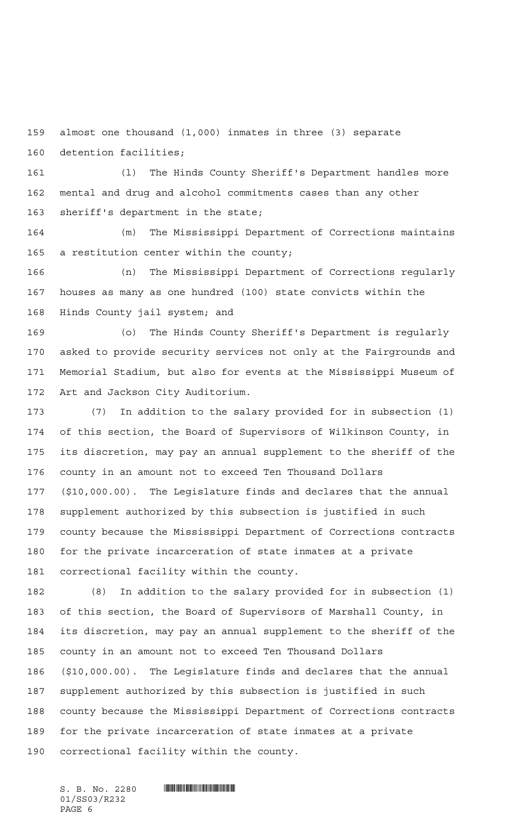almost one thousand (1,000) inmates in three (3) separate detention facilities;

 (l) The Hinds County Sheriff's Department handles more mental and drug and alcohol commitments cases than any other sheriff's department in the state;

 (m) The Mississippi Department of Corrections maintains a restitution center within the county;

 (n) The Mississippi Department of Corrections regularly houses as many as one hundred (100) state convicts within the Hinds County jail system; and

 (o) The Hinds County Sheriff's Department is regularly asked to provide security services not only at the Fairgrounds and Memorial Stadium, but also for events at the Mississippi Museum of Art and Jackson City Auditorium.

 (7) In addition to the salary provided for in subsection (1) of this section, the Board of Supervisors of Wilkinson County, in its discretion, may pay an annual supplement to the sheriff of the county in an amount not to exceed Ten Thousand Dollars (\$10,000.00). The Legislature finds and declares that the annual supplement authorized by this subsection is justified in such county because the Mississippi Department of Corrections contracts for the private incarceration of state inmates at a private correctional facility within the county.

 (8) In addition to the salary provided for in subsection (1) of this section, the Board of Supervisors of Marshall County, in its discretion, may pay an annual supplement to the sheriff of the county in an amount not to exceed Ten Thousand Dollars (\$10,000.00). The Legislature finds and declares that the annual supplement authorized by this subsection is justified in such county because the Mississippi Department of Corrections contracts for the private incarceration of state inmates at a private correctional facility within the county.

01/SS03/R232 PAGE 6

 $S. B. No. 2280$  . And  $S. 3280$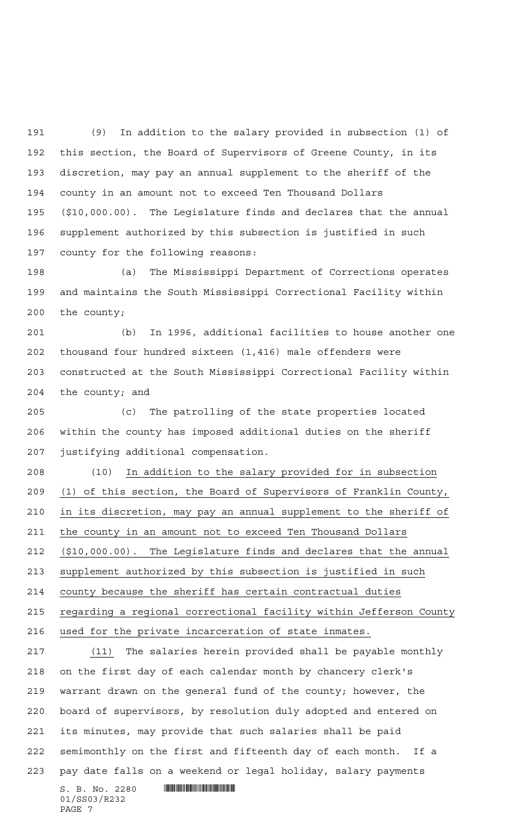(9) In addition to the salary provided in subsection (1) of this section, the Board of Supervisors of Greene County, in its discretion, may pay an annual supplement to the sheriff of the county in an amount not to exceed Ten Thousand Dollars (\$10,000.00). The Legislature finds and declares that the annual supplement authorized by this subsection is justified in such county for the following reasons:

 (a) The Mississippi Department of Corrections operates and maintains the South Mississippi Correctional Facility within the county;

 (b) In 1996, additional facilities to house another one thousand four hundred sixteen (1,416) male offenders were constructed at the South Mississippi Correctional Facility within the county; and

 (c) The patrolling of the state properties located within the county has imposed additional duties on the sheriff justifying additional compensation.

 (10) In addition to the salary provided for in subsection (1) of this section, the Board of Supervisors of Franklin County, in its discretion, may pay an annual supplement to the sheriff of the county in an amount not to exceed Ten Thousand Dollars (\$10,000.00). The Legislature finds and declares that the annual supplement authorized by this subsection is justified in such

county because the sheriff has certain contractual duties

regarding a regional correctional facility within Jefferson County

used for the private incarceration of state inmates.

 $S. B. No. 2280$  . And  $S. S. S.$  (11) The salaries herein provided shall be payable monthly on the first day of each calendar month by chancery clerk's warrant drawn on the general fund of the county; however, the board of supervisors, by resolution duly adopted and entered on its minutes, may provide that such salaries shall be paid semimonthly on the first and fifteenth day of each month. If a pay date falls on a weekend or legal holiday, salary payments

```
01/SS03/R232
PAGE 7
```